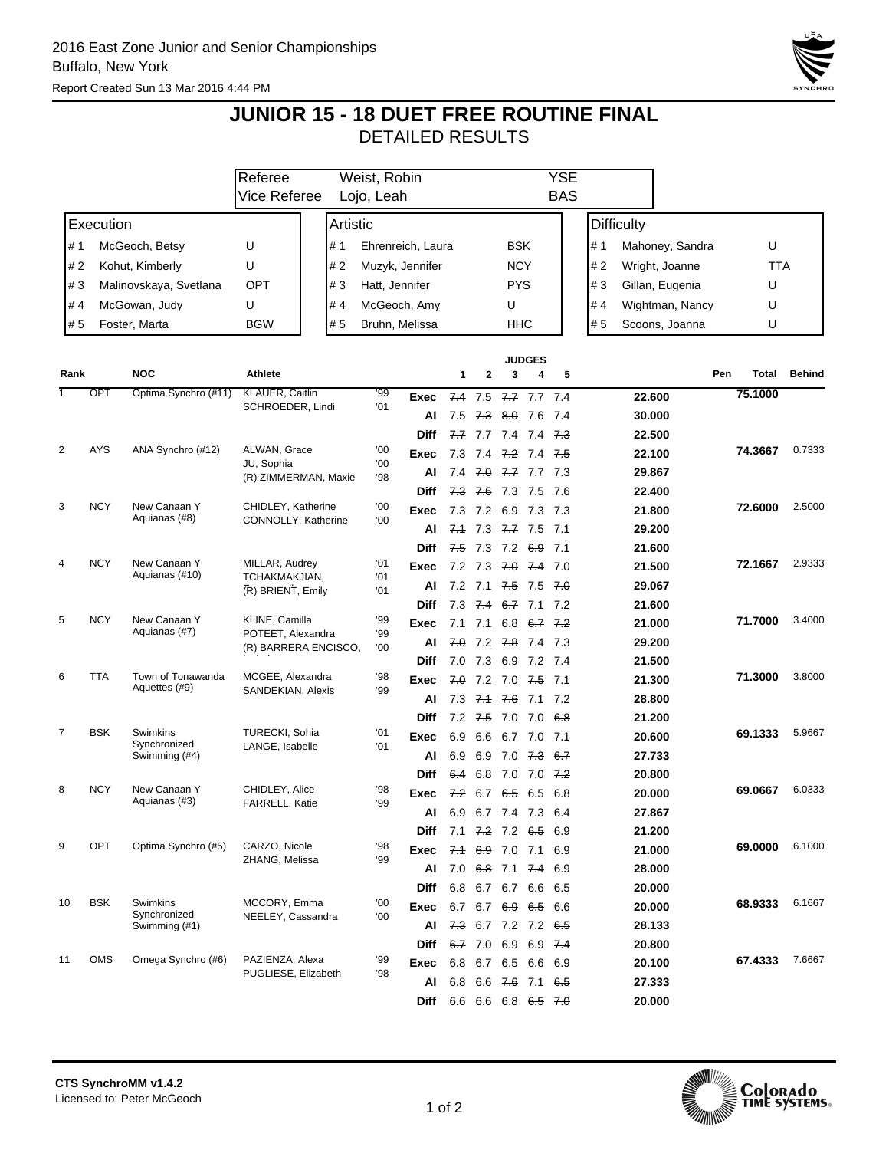

## **JUNIOR 15 - 18 DUET FREE ROUTINE FINAL** DETAILED RESULTS

|                       |                        |                                           | Referee                                                     | Weist, Robin          |                |                   |            | <b>YSE</b>         |            |                                |                      |                        |                   |                |         |               |
|-----------------------|------------------------|-------------------------------------------|-------------------------------------------------------------|-----------------------|----------------|-------------------|------------|--------------------|------------|--------------------------------|----------------------|------------------------|-------------------|----------------|---------|---------------|
|                       |                        |                                           | Vice Referee<br>Lojo, Leah                                  |                       |                |                   |            | <b>BAS</b>         |            |                                |                      |                        |                   |                |         |               |
| Execution             |                        |                                           |                                                             | Artistic              |                |                   |            |                    |            |                                |                      |                        | <b>Difficulty</b> |                |         |               |
| # 1                   | McGeoch, Betsy         |                                           | U                                                           | # 1                   |                | Ehrenreich, Laura |            |                    | <b>BSK</b> |                                |                      | # 1<br>Mahoney, Sandra |                   |                | U       |               |
| #2<br>Kohut, Kimberly |                        | U                                         | # 2                                                         | Muzyk, Jennifer       |                |                   | <b>NCY</b> |                    |            |                                | #2<br>Wright, Joanne |                        | TTA               |                |         |               |
| #3                    | Malinovskaya, Svetlana |                                           | OPT                                                         | #3                    | Hatt, Jennifer |                   |            | <b>PYS</b>         |            |                                | #3                   | Gillan, Eugenia        |                   | U              |         |               |
| #4                    | McGowan, Judy          |                                           | U                                                           | #4<br>McGeoch, Amy    |                |                   |            | U                  |            |                                | #4                   |                        | Wightman, Nancy   | U              |         |               |
|                       | # 5<br>Foster, Marta   |                                           | <b>BGW</b>                                                  | # 5<br>Bruhn, Melissa |                |                   |            |                    | HHC        |                                |                      | #5                     |                   | Scoons, Joanna | U       |               |
|                       |                        |                                           |                                                             |                       |                |                   |            |                    |            |                                |                      |                        |                   |                |         |               |
| Rank                  |                        | <b>NOC</b>                                | <b>Athlete</b>                                              |                       |                |                   | 1          | 2                  | 3          | <b>JUDGES</b><br>4             | 5                    |                        |                   | Pen            | Total   | <b>Behind</b> |
|                       | OPT                    | Optima Synchro (#11)                      | KLAUER, Caitlin                                             |                       | '99            | Exec              |            |                    |            | 7.4 7.5 7.7 7.7 7.4            |                      |                        | 22.600            |                | 75.1000 |               |
|                       |                        |                                           | SCHROEDER, Lindi                                            |                       | '01            | Al                | 7.5        | 7.3 8.0 7.6        |            |                                | -7.4                 |                        | 30.000            |                |         |               |
|                       |                        |                                           |                                                             |                       |                | <b>Diff</b>       |            |                    |            | <del>7.7</del> 7.7 7.4 7.4     | <del>7.3</del>       |                        | 22.500            |                |         |               |
| 2                     | <b>AYS</b>             | ANA Synchro (#12)                         | ALWAN, Grace<br>JU, Sophia<br>(R) ZIMMERMAN, Maxie          |                       | '00            | Exec              | 7.3        |                    |            | 7.4 <del>7.2</del> 7.4         | 7.5                  |                        | 22.100            |                | 74.3667 | 0.7333        |
|                       |                        |                                           |                                                             |                       | '00<br>'98     | Al                | 7.4        |                    |            | $7.0$ $7.7$ $7.3$              |                      |                        | 29.867            |                |         |               |
|                       |                        |                                           |                                                             |                       |                | Diff              |            |                    |            | 7.3 7.6 7.3 7.5 7.6            |                      |                        | 22.400            |                |         |               |
| 3                     | <b>NCY</b>             | New Canaan Y                              | CHIDLEY, Katherine                                          |                       | '00            | Exec              |            |                    |            | 7.3 7.2 6.9 7.3 7.3            |                      |                        | 21.800            |                | 72.6000 | 2.5000        |
|                       |                        | Aquianas (#8)                             | CONNOLLY, Katherine                                         |                       | '00            | AI                |            | 7.1 7.3 7.7 7.5    |            |                                | - 7.1                |                        | 29.200            |                |         |               |
|                       |                        |                                           |                                                             |                       |                | <b>Diff</b>       |            |                    |            | 7.5 7.3 7.2 6.9 7.1            |                      |                        | 21.600            |                |         |               |
| 4                     | <b>NCY</b>             | New Canaan Y                              | MILLAR, Audrey                                              |                       | '01            | Exec              |            |                    |            | 7.2 7.3 7.0 7.4 7.0            |                      |                        | 21.500            |                | 72.1667 | 2.9333        |
|                       |                        | Aquianas (#10)                            | TCHAKMAKJIAN.<br>(R) BRIENT, Emily                          |                       | '01<br>'01     | Al                |            |                    |            | 7.2 7.1 7.5 7.5 7.0            |                      |                        | 29.067            |                |         |               |
|                       |                        |                                           |                                                             |                       |                | <b>Diff</b>       |            |                    |            | 7.3 7.4 6.7 7.1 7.2            |                      |                        | 21.600            |                |         |               |
| 5                     | <b>NCY</b>             | New Canaan Y<br>Aquianas (#7)             | KLINE, Camilla<br>POTEET, Alexandra<br>(R) BARRERA ENCISCO, |                       | '99            | Exec              |            | $7.1$ $7.1$        | 6.8        | <del>6.7</del> 7.2             |                      |                        | 21.000            |                | 71.7000 | 3.4000        |
|                       |                        |                                           |                                                             |                       | '99<br>'00     | AI                | 7.0        |                    |            | 7.2 <del>7.8</del> 7.4 7.3     |                      |                        | 29.200            |                |         |               |
|                       |                        |                                           |                                                             |                       |                | <b>Diff</b>       | 7.0        | 7.3                |            | 6.9 7.2 7.4                    |                      |                        | 21.500            |                |         |               |
| 6                     | <b>TTA</b>             | Town of Tonawanda<br>Aquettes (#9)        | MCGEE, Alexandra<br>SANDEKIAN, Alexis                       |                       | '98            | Exec              | 7.0        |                    |            | 7.2 7.0 <del>7.5</del> 7.1     |                      |                        | 21.300            |                | 71.3000 | 3.8000        |
|                       |                        |                                           |                                                             |                       | '99            | Al                | 7.3        | <del>7.1</del> 7.6 |            | 7.1                            | 7.2                  |                        | 28.800            |                |         |               |
|                       |                        |                                           |                                                             |                       |                | <b>Diff</b>       |            |                    |            | 7.2 7.5 7.0 7.0 6.8            |                      |                        | 21.200            |                |         |               |
| 7                     | <b>BSK</b>             | Swimkins<br>Synchronized<br>Swimming (#4) | TURECKI, Sohia<br>LANGE, Isabelle                           |                       | '01            | Exec              | 6.9        | 6.6                |            | 6.7 7.0 <del>7.1</del>         |                      |                        | 20.600            |                | 69.1333 | 5.9667        |
|                       |                        |                                           |                                                             |                       | '01            | AI                | 6.9        | 6.9                | 7.0        | 7.3 6.7                        |                      |                        | 27.733            |                |         |               |
|                       |                        |                                           |                                                             |                       |                | <b>Diff</b>       | 6.4        | 6.8                | 7.0        | 7.0                            | 7.2                  |                        | 20,800            |                |         |               |
| 8                     | <b>NCY</b>             | New Canaan Y<br>Aquianas (#3)             | CHIDLEY, Alice<br><b>FARRELL, Katie</b>                     |                       | '98<br>'99     | Exec              |            | $7.2\quad 6.7$     | 6.5        | 6.5                            | 6.8                  |                        | 20.000            |                | 69.0667 | 6.0333        |
|                       |                        |                                           |                                                             |                       |                | Al                |            |                    |            | 6.9 6.7 7.4 7.3 6.4            |                      |                        | 27.867            |                |         |               |
|                       |                        |                                           |                                                             |                       |                | <b>Diff</b>       |            |                    |            | 7.1 <del>7.2</del> 7.2 6.5 6.9 |                      |                        | 21.200            |                |         |               |
| 9                     | OPT                    | Optima Synchro (#5)                       | CARZO, Nicole<br>ZHANG, Melissa                             |                       | '98<br>'99     | Exec              |            |                    |            | 7.4 6.9 7.0 7.1 6.9            |                      |                        | 21.000            |                | 69.0000 | 6.1000        |
|                       |                        |                                           |                                                             |                       |                | Al                |            |                    |            | 7.0 6.8 7.1 7.4 6.9            |                      |                        | 28.000            |                |         |               |
|                       |                        |                                           |                                                             |                       |                | Diff              |            |                    |            | 6.8 6.7 6.7 6.6 6.5            |                      |                        | 20.000            |                |         |               |
| 10                    | <b>BSK</b>             | Swimkins<br>Synchronized                  | MCCORY, Emma<br>NEELEY, Cassandra                           |                       | '00<br>'00     | Exec              |            |                    |            | 6.7 6.7 6.9 6.5 6.6            |                      |                        | 20.000            |                | 68.9333 | 6.1667        |
|                       |                        | Swimming (#1)                             |                                                             |                       |                | Al                |            |                    |            | 7.3 6.7 7.2 7.2 6.5            |                      |                        | 28.133            |                |         |               |
|                       |                        |                                           |                                                             |                       |                | Diff              |            |                    |            | 6.7 7.0 6.9 6.9 7.4            |                      |                        | 20.800            |                |         |               |
| 11                    | OMS                    | Omega Synchro (#6)                        | PAZIENZA, Alexa<br>PUGLIESE, Elizabeth                      |                       | '99<br>98      | Exec              |            |                    |            | 6.8 6.7 6.5 6.6 6.9            |                      |                        | 20.100            |                | 67.4333 | 7.6667        |
|                       |                        |                                           |                                                             |                       |                | Al                |            |                    |            | 6.8 6.6 7.6 7.1 6.5            |                      |                        | 27.333            |                |         |               |
|                       |                        |                                           |                                                             |                       |                | Diff              |            |                    |            | 6.6 6.6 6.8 6.5 7.0            |                      |                        | 20.000            |                |         |               |